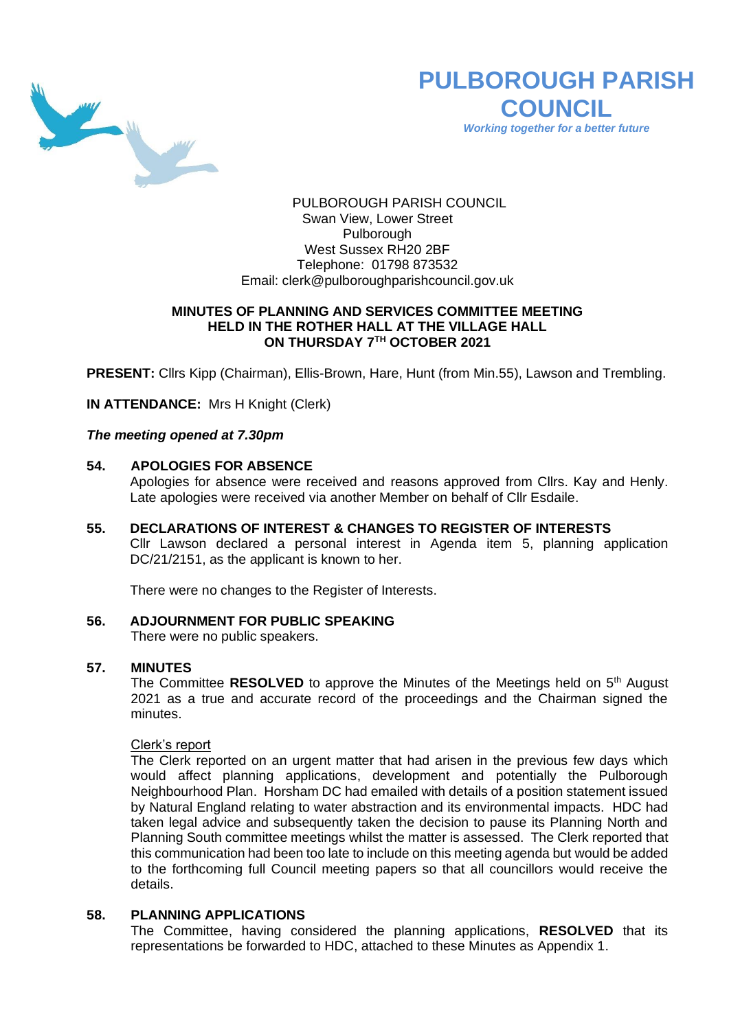

# **PULBOROUGH PARISH COUNCIL**

*Working together for a better future*

PULBOROUGH PARISH COUNCIL Swan View, Lower Street Pulborough West Sussex RH20 2BF Telephone: 01798 873532 Email: [clerk@pulboroughparishcouncil.gov.uk](mailto:clerk@pulboroughparishcouncil.gov.uk)

## **MINUTES OF PLANNING AND SERVICES COMMITTEE MEETING HELD IN THE ROTHER HALL AT THE VILLAGE HALL ON THURSDAY 7 TH OCTOBER 2021**

**PRESENT:** Cllrs Kipp (Chairman), Ellis-Brown, Hare, Hunt (from Min.55), Lawson and Trembling.

**IN ATTENDANCE:** Mrs H Knight (Clerk)

*The meeting opened at 7.30pm* 

## **54. APOLOGIES FOR ABSENCE**

Apologies for absence were received and reasons approved from Cllrs. Kay and Henly. Late apologies were received via another Member on behalf of Cllr Esdaile.

**55. DECLARATIONS OF INTEREST & CHANGES TO REGISTER OF INTERESTS** Cllr Lawson declared a personal interest in Agenda item 5, planning application DC/21/2151, as the applicant is known to her.

There were no changes to the Register of Interests.

#### **56. ADJOURNMENT FOR PUBLIC SPEAKING**

There were no public speakers.

#### **57. MINUTES**

The Committee **RESOLVED** to approve the Minutes of the Meetings held on 5<sup>th</sup> August 2021 as a true and accurate record of the proceedings and the Chairman signed the minutes.

#### Clerk's report

The Clerk reported on an urgent matter that had arisen in the previous few days which would affect planning applications, development and potentially the Pulborough Neighbourhood Plan. Horsham DC had emailed with details of a position statement issued by Natural England relating to water abstraction and its environmental impacts. HDC had taken legal advice and subsequently taken the decision to pause its Planning North and Planning South committee meetings whilst the matter is assessed. The Clerk reported that this communication had been too late to include on this meeting agenda but would be added to the forthcoming full Council meeting papers so that all councillors would receive the details.

#### **58. PLANNING APPLICATIONS**

The Committee, having considered the planning applications, **RESOLVED** that its representations be forwarded to HDC, attached to these Minutes as Appendix 1.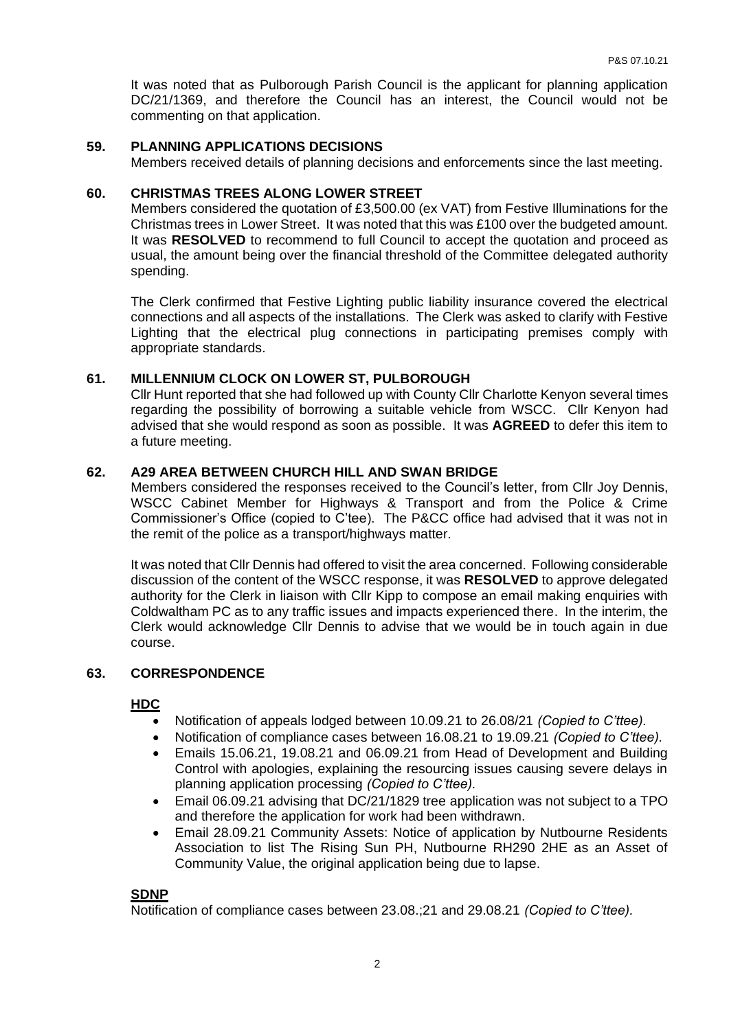It was noted that as Pulborough Parish Council is the applicant for planning application DC/21/1369, and therefore the Council has an interest, the Council would not be commenting on that application.

## **59. PLANNING APPLICATIONS DECISIONS**

Members received details of planning decisions and enforcements since the last meeting.

#### **60. CHRISTMAS TREES ALONG LOWER STREET**

Members considered the quotation of £3,500.00 (ex VAT) from Festive Illuminations for the Christmas trees in Lower Street. It was noted that this was £100 over the budgeted amount. It was **RESOLVED** to recommend to full Council to accept the quotation and proceed as usual, the amount being over the financial threshold of the Committee delegated authority spending.

The Clerk confirmed that Festive Lighting public liability insurance covered the electrical connections and all aspects of the installations. The Clerk was asked to clarify with Festive Lighting that the electrical plug connections in participating premises comply with appropriate standards.

#### **61. MILLENNIUM CLOCK ON LOWER ST, PULBOROUGH**

Cllr Hunt reported that she had followed up with County Cllr Charlotte Kenyon several times regarding the possibility of borrowing a suitable vehicle from WSCC. Cllr Kenyon had advised that she would respond as soon as possible. It was **AGREED** to defer this item to a future meeting.

#### **62. A29 AREA BETWEEN CHURCH HILL AND SWAN BRIDGE**

Members considered the responses received to the Council's letter, from Cllr Joy Dennis, WSCC Cabinet Member for Highways & Transport and from the Police & Crime Commissioner's Office (copied to C'tee). The P&CC office had advised that it was not in the remit of the police as a transport/highways matter.

It was noted that Cllr Dennis had offered to visit the area concerned. Following considerable discussion of the content of the WSCC response, it was **RESOLVED** to approve delegated authority for the Clerk in liaison with Cllr Kipp to compose an email making enquiries with Coldwaltham PC as to any traffic issues and impacts experienced there. In the interim, the Clerk would acknowledge Cllr Dennis to advise that we would be in touch again in due course.

#### **63. CORRESPONDENCE**

## **HDC**

- Notification of appeals lodged between 10.09.21 to 26.08/21 *(Copied to C'ttee).*
- Notification of compliance cases between 16.08.21 to 19.09.21 *(Copied to C'ttee).*
- Emails 15.06.21, 19.08.21 and 06.09.21 from Head of Development and Building Control with apologies, explaining the resourcing issues causing severe delays in planning application processing *(Copied to C'ttee).*
- Email 06.09.21 advising that DC/21/1829 tree application was not subject to a TPO and therefore the application for work had been withdrawn.
- Email 28.09.21 Community Assets: Notice of application by Nutbourne Residents Association to list The Rising Sun PH, Nutbourne RH290 2HE as an Asset of Community Value, the original application being due to lapse.

#### **SDNP**

Notification of compliance cases between 23.08.;21 and 29.08.21 *(Copied to C'ttee).*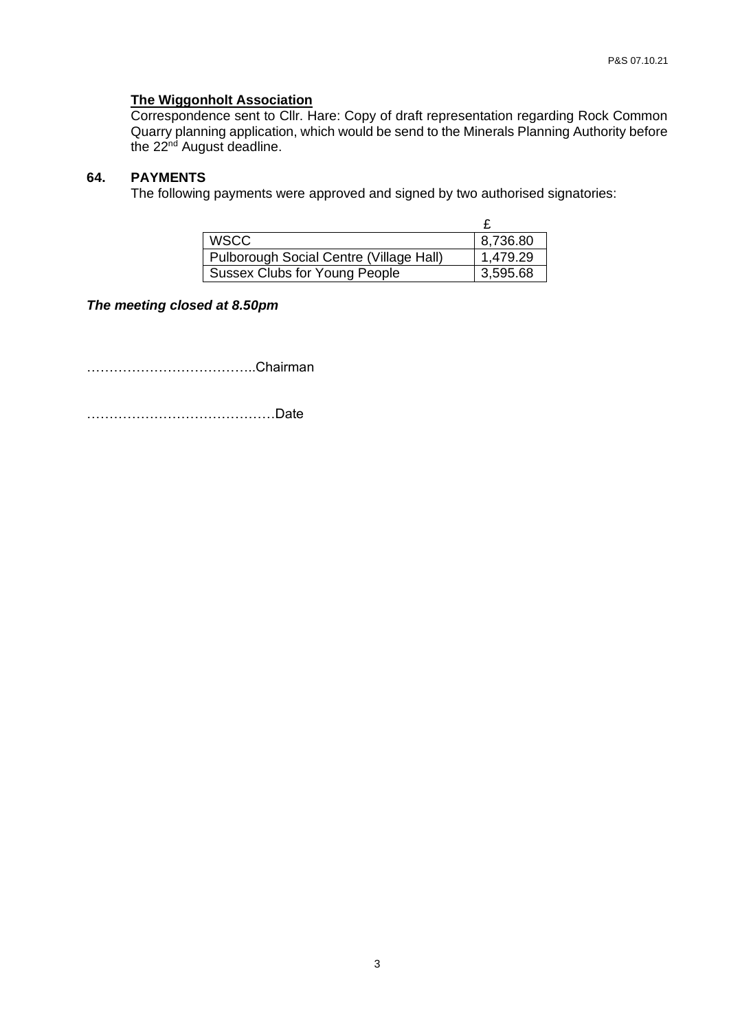## **The Wiggonholt Association**

Correspondence sent to Cllr. Hare: Copy of draft representation regarding Rock Common Quarry planning application, which would be send to the Minerals Planning Authority before the 22<sup>nd</sup> August deadline.

# **64. PAYMENTS**

The following payments were approved and signed by two authorised signatories:

| <b>WSCC</b>                             | 8,736.80 |
|-----------------------------------------|----------|
| Pulborough Social Centre (Village Hall) | 1,479.29 |
| Sussex Clubs for Young People           | 3,595.68 |

*The meeting closed at 8.50pm*

………………………………..Chairman

……………………………………Date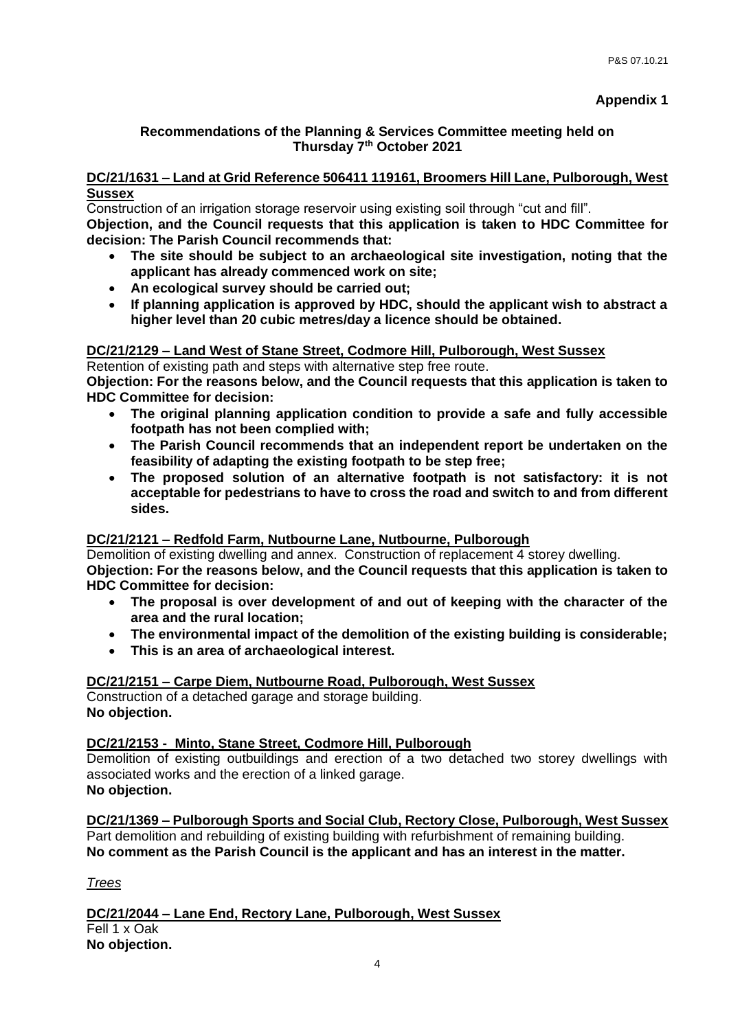# **Recommendations of the Planning & Services Committee meeting held on Thursday 7th October 2021**

## **DC/21/1631 – Land at Grid Reference 506411 119161, Broomers Hill Lane, Pulborough, West Sussex**

Construction of an irrigation storage reservoir using existing soil through "cut and fill".

**Objection, and the Council requests that this application is taken to HDC Committee for decision: The Parish Council recommends that:**

- **The site should be subject to an archaeological site investigation, noting that the applicant has already commenced work on site;**
- **An ecological survey should be carried out;**
- **If planning application is approved by HDC, should the applicant wish to abstract a higher level than 20 cubic metres/day a licence should be obtained.**

# **DC/21/2129 – Land West of Stane Street, Codmore Hill, Pulborough, West Sussex**

Retention of existing path and steps with alternative step free route.

**Objection: For the reasons below, and the Council requests that this application is taken to HDC Committee for decision:**

- **The original planning application condition to provide a safe and fully accessible footpath has not been complied with;**
- **The Parish Council recommends that an independent report be undertaken on the feasibility of adapting the existing footpath to be step free;**
- **The proposed solution of an alternative footpath is not satisfactory: it is not acceptable for pedestrians to have to cross the road and switch to and from different sides.**

## **DC/21/2121 – Redfold Farm, Nutbourne Lane, Nutbourne, Pulborough**

Demolition of existing dwelling and annex. Construction of replacement 4 storey dwelling.

**Objection: For the reasons below, and the Council requests that this application is taken to HDC Committee for decision:**

- **The proposal is over development of and out of keeping with the character of the area and the rural location;**
- **The environmental impact of the demolition of the existing building is considerable;**
- **This is an area of archaeological interest.**

## **DC/21/2151 – Carpe Diem, Nutbourne Road, Pulborough, West Sussex**

Construction of a detached garage and storage building. **No objection.**

## **DC/21/2153 - Minto, Stane Street, Codmore Hill, Pulborough**

Demolition of existing outbuildings and erection of a two detached two storey dwellings with associated works and the erection of a linked garage. **No objection.**

**DC/21/1369 – Pulborough Sports and Social Club, Rectory Close, Pulborough, West Sussex** Part demolition and rebuilding of existing building with refurbishment of remaining building. **No comment as the Parish Council is the applicant and has an interest in the matter.**

*Trees*

**DC/21/2044 – Lane End, Rectory Lane, Pulborough, West Sussex** Fell 1 x Oak **No objection.**